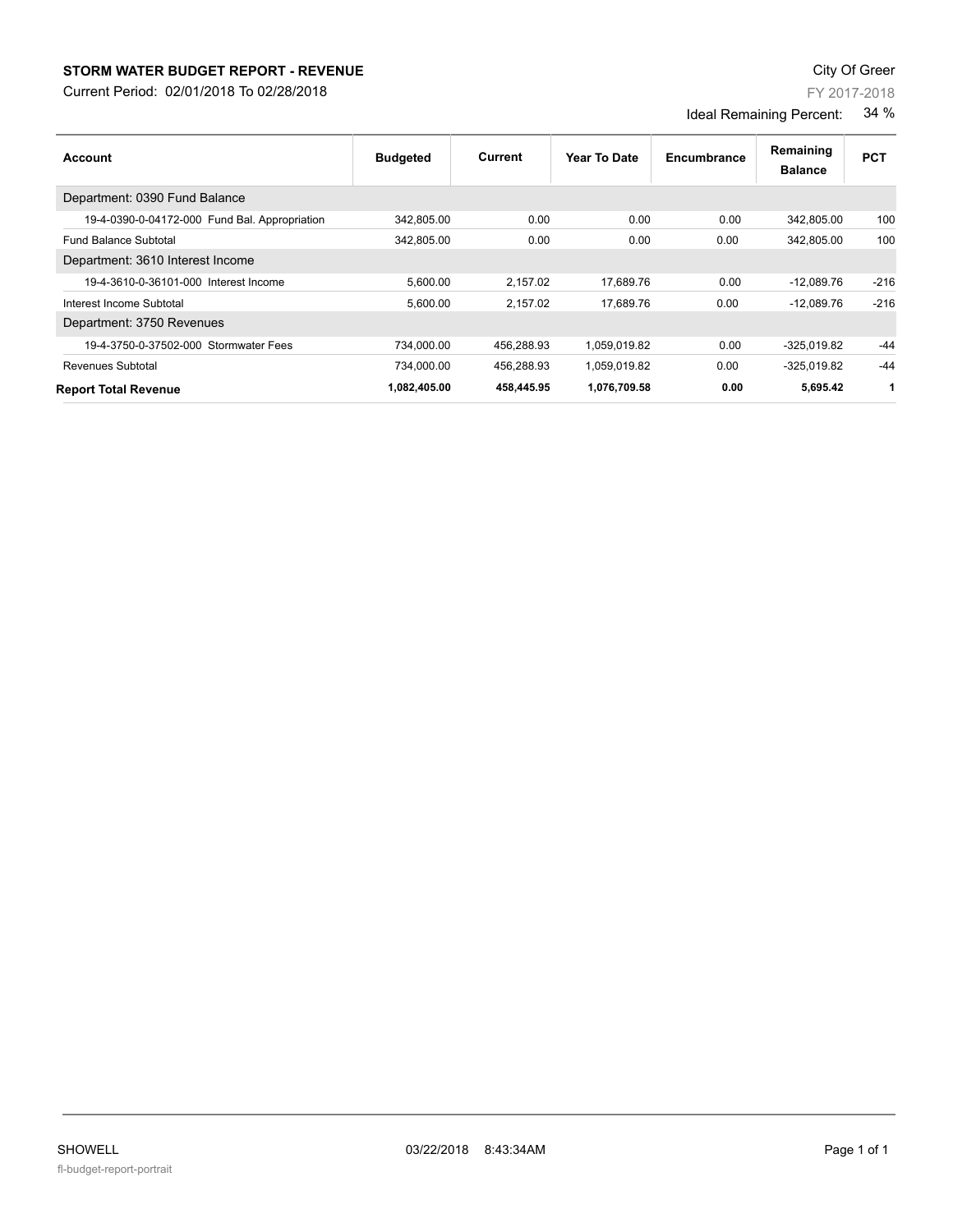## **STORM WATER BUDGET REPORT - REVENUE CONSUMPTER STORM WATER BUDGET REPORT - REVENUE**

Current Period: 02/01/2018 To 02/28/2018

FY 2017-2018

Ideal Remaining Percent: 34 %

| Account                                       | <b>Budgeted</b> | Current    | Year To Date | Encumbrance | Remaining<br><b>Balance</b> | <b>PCT</b> |
|-----------------------------------------------|-----------------|------------|--------------|-------------|-----------------------------|------------|
| Department: 0390 Fund Balance                 |                 |            |              |             |                             |            |
| 19-4-0390-0-04172-000 Fund Bal. Appropriation | 342,805.00      | 0.00       | 0.00         | 0.00        | 342,805.00                  | 100        |
| <b>Fund Balance Subtotal</b>                  | 342.805.00      | 0.00       | 0.00         | 0.00        | 342.805.00                  | 100        |
| Department: 3610 Interest Income              |                 |            |              |             |                             |            |
| 19-4-3610-0-36101-000 Interest Income         | 5.600.00        | 2.157.02   | 17.689.76    | 0.00        | $-12.089.76$                | $-216$     |
| Interest Income Subtotal                      | 5,600.00        | 2,157.02   | 17,689.76    | 0.00        | $-12,089.76$                | $-216$     |
| Department: 3750 Revenues                     |                 |            |              |             |                             |            |
| 19-4-3750-0-37502-000 Stormwater Fees         | 734,000.00      | 456,288.93 | 1,059,019.82 | 0.00        | $-325,019.82$               | $-44$      |
| <b>Revenues Subtotal</b>                      | 734.000.00      | 456,288.93 | 1,059,019.82 | 0.00        | $-325.019.82$               | $-44$      |
| <b>Report Total Revenue</b>                   | 1,082,405.00    | 458,445.95 | 1,076,709.58 | 0.00        | 5,695.42                    | 1          |